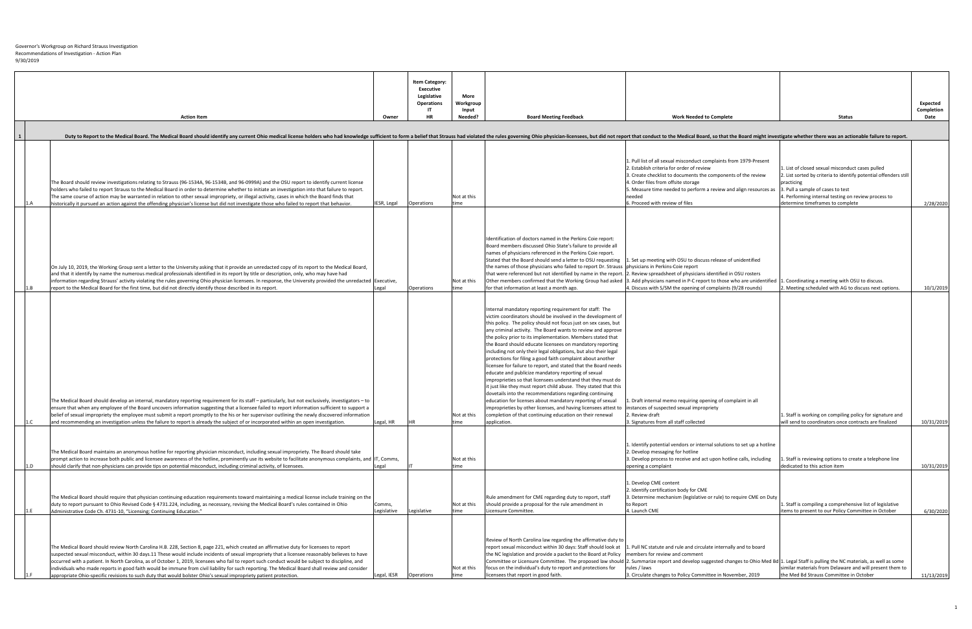| <b>Action Item</b><br>Owner                                                                                                                                                                                                                                                                                                                                                                                                                                                                                                                                                                                                                                                                              | <b>Item Category:</b><br><b>Executive</b><br>Legislative<br><b>Operations</b><br><b>HR</b> | More<br>Workgroup<br>Input<br>Needed? | <b>Board Meeting Feedback</b>                                                                                                                                                                                                                                                                                                                                                                                                                                                                                                                                                                                                                                                                                                                                                                                                                                                                                                                                                                                                                                   | <b>Work Needed to Complete</b>                                                                                                                                                                                                                                                                                                            | <b>Status</b>                                                                                                                                                                                                                                                      | <b>Expected</b><br>Completion<br>Date |
|----------------------------------------------------------------------------------------------------------------------------------------------------------------------------------------------------------------------------------------------------------------------------------------------------------------------------------------------------------------------------------------------------------------------------------------------------------------------------------------------------------------------------------------------------------------------------------------------------------------------------------------------------------------------------------------------------------|--------------------------------------------------------------------------------------------|---------------------------------------|-----------------------------------------------------------------------------------------------------------------------------------------------------------------------------------------------------------------------------------------------------------------------------------------------------------------------------------------------------------------------------------------------------------------------------------------------------------------------------------------------------------------------------------------------------------------------------------------------------------------------------------------------------------------------------------------------------------------------------------------------------------------------------------------------------------------------------------------------------------------------------------------------------------------------------------------------------------------------------------------------------------------------------------------------------------------|-------------------------------------------------------------------------------------------------------------------------------------------------------------------------------------------------------------------------------------------------------------------------------------------------------------------------------------------|--------------------------------------------------------------------------------------------------------------------------------------------------------------------------------------------------------------------------------------------------------------------|---------------------------------------|
|                                                                                                                                                                                                                                                                                                                                                                                                                                                                                                                                                                                                                                                                                                          |                                                                                            |                                       |                                                                                                                                                                                                                                                                                                                                                                                                                                                                                                                                                                                                                                                                                                                                                                                                                                                                                                                                                                                                                                                                 |                                                                                                                                                                                                                                                                                                                                           |                                                                                                                                                                                                                                                                    |                                       |
| Duty to Report to the Medical Board. The Medical Board should identify any current Ohio medical license holders who had knowledge sufficient to form a belief that Strauss had violated the rules governing Ohio physician-lic                                                                                                                                                                                                                                                                                                                                                                                                                                                                           |                                                                                            |                                       |                                                                                                                                                                                                                                                                                                                                                                                                                                                                                                                                                                                                                                                                                                                                                                                                                                                                                                                                                                                                                                                                 |                                                                                                                                                                                                                                                                                                                                           |                                                                                                                                                                                                                                                                    |                                       |
| oard should review investigations relating to Strauss (96-1534A, 96-1534B, and 96-0999A) and the OSU report to identify current license<br>s who failed to report Strauss to the Medical Board in order to determine whether to initiate an investigation into that failure to report.<br>me course of action may be warranted in relation to other sexual impropriety, or illegal activity, cases in which the Board finds that<br>cally it pursued an action against the offending physician's license but did not investigate those who failed to report that behavior.<br>IESR, Legal                                                                                                                | Operations                                                                                 | Not at this<br>time                   |                                                                                                                                                                                                                                                                                                                                                                                                                                                                                                                                                                                                                                                                                                                                                                                                                                                                                                                                                                                                                                                                 | 1. Pull list of all sexual misconduct complaints from 1979-Present<br>2. Establish criteria for order of review<br>3. Create checklist to documents the components of the review<br>4. Order files from offsite storage<br>5. Measure time needed to perform a review and align resources as<br>needed<br>6. Proceed with review of files | 1. List of closed sexual misconduct cases pulled<br>2. List sorted by criteria to identify potential offenders still<br>practicing<br>3. Pull a sample of cases to test<br>4. Performing internal testing on review process to<br>determine timeframes to complete | 2/28/2020                             |
| y 10, 2019, the Working Group sent a letter to the University asking that it provide an unredacted copy of its report to the Medical Board,<br>at it identify by name the numerous medical professionals identified in its report by title or description, only, who may have had<br>ation regarding Strauss' activity violating the rules governing Ohio physician licensees. In response, the University provided the unredacted   Executive,<br>to the Medical Board for the first time, but did not directly identify those described in its report.<br> Legal                                                                                                                                       | <b>Operations</b>                                                                          | Not at this<br>Itime                  | Identification of doctors named in the Perkins Coie report:<br>Board members discussed Ohio State's failure to provide all<br>names of physicians referenced in the Perkins Coie report.<br>Stated that the Board should send a letter to OSU requesting<br>the names of those physicians who failed to report Dr. Strauss physicians in Perkins-Coie report<br>that were referenced but not identified by name in the report. 2. Review spreadsheet of physicians identified in OSU rosters<br>for that information at least a month ago.                                                                                                                                                                                                                                                                                                                                                                                                                                                                                                                      | 1. Set up meeting with OSU to discuss release of unidentified<br>Other members confirmed that the Working Group had asked 3. Add physicians named in P-C report to those who are unidentified 1. Coordinating a meeting with OSU to discuss.<br>4. Discuss with S/SM the opening of complaints (9/28 rounds)                              | 2. Meeting scheduled with AG to discuss next options.                                                                                                                                                                                                              | 10/1/2019                             |
| edical Board should develop an internal, mandatory reporting requirement for its staff – particularly, but not exclusively, investigators – to<br>that when any employee of the Board uncovers information suggesting that a licensee failed to report information sufficient to support a<br>of sexual impropriety the employee must submit a report promptly to the his or her supervisor outlining the newly discovered information<br>commending an investigation unless the failure to report is already the subject of or incorporated within an open investigation.<br>Legal, HR                                                                                                                  |                                                                                            | Not at this<br>time                   | Internal mandatory reporting requirement for staff: The<br>victim coordinators should be involved in the development of<br>this policy. The policy should not focus just on sex cases, but<br>any criminal activity. The Board wants to review and approve<br>the policy prior to its implementation. Members stated that<br>the Board should educate licensees on mandatory reporting<br>including not only their legal obligations, but also their legal<br>protections for filing a good faith complaint about another<br>licensee for failure to report, and stated that the Board needs<br>educate and publicize mandatory reporting of sexual<br>improprieties so that licensees understand that they must do<br>it just like they must report child abuse. They stated that this<br>dovetails into the recommendations regarding continuing<br>education for licenses about mandatory reporting of sexual<br>improprieties by other licenses, and having licensees attest to<br>completion of that continuing education on their renewal<br>application. | . Draft internal memo requiring opening of complaint in all<br>instances of suspected sexual impropriety<br>. Review draft<br>3. Signatures from all staff collected                                                                                                                                                                      | 1. Staff is working on compiling policy for signature and<br>will send to coordinators once contracts are finalized                                                                                                                                                | 10/31/2019                            |
| edical Board maintains an anonymous hotline for reporting physician misconduct, including sexual impropriety. The Board should take<br>t action to increase both public and licensee awareness of the hotline, prominently use its website to facilitate anonymous complaints, and  IT, Comms,<br>I clarify that non-physicians can provide tips on potential misconduct, including criminal activity, of licensees.<br>Legal                                                                                                                                                                                                                                                                            |                                                                                            | Not at this<br>time                   |                                                                                                                                                                                                                                                                                                                                                                                                                                                                                                                                                                                                                                                                                                                                                                                                                                                                                                                                                                                                                                                                 | 1. Identify potential vendors or internal solutions to set up a hotline<br>2. Develop messaging for hotline<br>3. Develop process to receive and act upon hotline calls, including<br>opening a complaint                                                                                                                                 | 1. Staff is reviewing options to create a telephone line<br>dedicated to this action item                                                                                                                                                                          | 10/31/2019                            |
| edical Board should require that physician continuing education requirements toward maintaining a medical license include training on the<br>o report pursuant to Ohio Revised Code § 4731.224, including, as necessary, revising the Medical Board's rules contained in Ohio<br>Comms,<br>istrative Code Ch. 4731-10, "Licensing; Continuing Education."<br>Legislative                                                                                                                                                                                                                                                                                                                                 | Legislative                                                                                | Not at this<br>Itime                  | Rule amendment for CME regarding duty to report, staff<br>should provide a proposal for the rule amendment in<br>Licensure Committee.                                                                                                                                                                                                                                                                                                                                                                                                                                                                                                                                                                                                                                                                                                                                                                                                                                                                                                                           | 1. Develop CME content<br>2. Identify certification body for CME<br>3. Determine mechanism (legislative or rule) to require CME on Duty<br>to Report<br>4. Launch CME                                                                                                                                                                     | 1. Staff is compiling a comprehensive list of legislative<br>litems to present to our Policy Committee in October                                                                                                                                                  | 6/30/2020                             |
| edical Board should review North Carolina H.B. 228, Section 8, page 221, which created an affirmative duty for licensees to report<br>ted sexual misconduct, within 30 days.11 These would include incidents of sexual impropriety that a licensee reasonably believes to have<br>ed with a patient. In North Carolina, as of October 1, 2019, licensees who fail to report such conduct would be subject to discipline, and<br>luals who made reports in good faith would be immune from civil liability for such reporting. The Medical Board shall review and consider<br>priate Ohio-specific revisions to such duty that would bolster Ohio's sexual impropriety patient protection.<br>Legal, IESR | <b>Operations</b>                                                                          | Not at this<br> time                  | Review of North Carolina law regarding the affirmative duty to<br>report sexual misconduct within 30 days: Staff should look at<br>the NC legislation and provide a packet to the Board at Policy $\Box$ members for review and comment<br>focus on the individual's duty to report and protections for<br>licensees that report in good faith.                                                                                                                                                                                                                                                                                                                                                                                                                                                                                                                                                                                                                                                                                                                 | 1. Pull NC statute and rule and circulate internally and to board<br>Committee or Licensure Committee. The proposed law should 2. Summarize report and develop suggested changes to Ohio Med Bd 1. Legal Staff is pulling the NC materials, as well as some<br>rules / laws<br>3. Circulate changes to Policy Committee in November, 2019 | similar materials from Delaware and will present them to<br>the Med Bd Strauss Committee in October                                                                                                                                                                | 11/13/2019                            |

|      |                                                                                                                                                                                                                                                                                                                                                                                                                                                                                                                                                                                                                                                                                                                       |                       | <b>Item Category:</b><br><b>Executive</b><br>Legislative<br><b>Operations</b><br>ΙT |
|------|-----------------------------------------------------------------------------------------------------------------------------------------------------------------------------------------------------------------------------------------------------------------------------------------------------------------------------------------------------------------------------------------------------------------------------------------------------------------------------------------------------------------------------------------------------------------------------------------------------------------------------------------------------------------------------------------------------------------------|-----------------------|-------------------------------------------------------------------------------------|
|      | <b>Action Item</b>                                                                                                                                                                                                                                                                                                                                                                                                                                                                                                                                                                                                                                                                                                    | Owner                 | <b>HR</b>                                                                           |
|      |                                                                                                                                                                                                                                                                                                                                                                                                                                                                                                                                                                                                                                                                                                                       |                       |                                                                                     |
| 1    | Duty to Report to the Medical Board. The Medical Board should identify any current Ohio medical license holders who had knowledge sufficient to form a belief that Stra                                                                                                                                                                                                                                                                                                                                                                                                                                                                                                                                               |                       |                                                                                     |
| 1.A  | The Board should review investigations relating to Strauss (96-1534A, 96-1534B, and 96-0999A) and the OSU report to identify current license<br>holders who failed to report Strauss to the Medical Board in order to determine whether to initiate an investigation into that failure to report.<br>The same course of action may be warranted in relation to other sexual impropriety, or illegal activity, cases in which the Board finds that<br>historically it pursued an action against the offending physician's license but did not investigate those who failed to report that behavior.                                                                                                                    | IESR, Legal           | Operations                                                                          |
|      | On July 10, 2019, the Working Group sent a letter to the University asking that it provide an unredacted copy of its report to the Medical Board,<br>and that it identify by name the numerous medical professionals identified in its report by title or description, only, who may have had                                                                                                                                                                                                                                                                                                                                                                                                                         |                       |                                                                                     |
|      | information regarding Strauss' activity violating the rules governing Ohio physician licensees. In response, the University provided the unredacted Executive,                                                                                                                                                                                                                                                                                                                                                                                                                                                                                                                                                        |                       |                                                                                     |
| 1.B  | report to the Medical Board for the first time, but did not directly identify those described in its report.                                                                                                                                                                                                                                                                                                                                                                                                                                                                                                                                                                                                          | Legal                 | Operations                                                                          |
| 1.C  | The Medical Board should develop an internal, mandatory reporting requirement for its staff - particularly, but not exclusively, investigators - to<br>ensure that when any employee of the Board uncovers information suggesting that a licensee failed to report information sufficient to support a<br>belief of sexual impropriety the employee must submit a report promptly to the his or her supervisor outlining the newly discovered information<br>and recommending an investigation unless the failure to report is already the subject of or incorporated within an open investigation.                                                                                                                   | Legal, HR             | <b>HR</b>                                                                           |
|      |                                                                                                                                                                                                                                                                                                                                                                                                                                                                                                                                                                                                                                                                                                                       |                       |                                                                                     |
| 1.D  | The Medical Board maintains an anonymous hotline for reporting physician misconduct, including sexual impropriety. The Board should take<br>prompt action to increase both public and licensee awareness of the hotline, prominently use its website to facilitate anonymous complaints, and  IT, Comms,<br>should clarify that non-physicians can provide tips on potential misconduct, including criminal activity, of licensees.                                                                                                                                                                                                                                                                                   | Legal                 | IΙT                                                                                 |
| 11.F | The Medical Board should require that physician continuing education requirements toward maintaining a medical license include training on the<br>duty to report pursuant to Ohio Revised Code § 4731.224, including, as necessary, revising the Medical Board's rules contained in Ohio<br>Administrative Code Ch. 4731-10, "Licensing; Continuing Education."                                                                                                                                                                                                                                                                                                                                                       | Comms,<br>Legislative | Legislative                                                                         |
| 1.F  | The Medical Board should review North Carolina H.B. 228, Section 8, page 221, which created an affirmative duty for licensees to report<br>suspected sexual misconduct, within 30 days.11 These would include incidents of sexual impropriety that a licensee reasonably believes to have<br>occurred with a patient. In North Carolina, as of October 1, 2019, licensees who fail to report such conduct would be subject to discipline, and<br>individuals who made reports in good faith would be immune from civil liability for such reporting. The Medical Board shall review and consider<br>appropriate Ohio-specific revisions to such duty that would bolster Ohio's sexual impropriety patient protection. | Legal, IESR           | Operations                                                                          |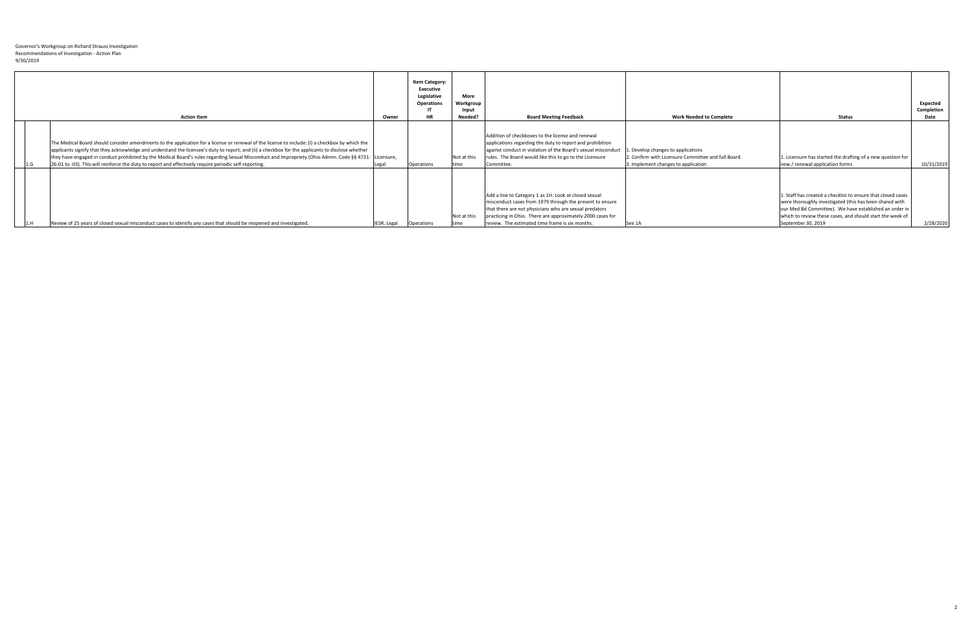| <b>Action Item</b>                                                                                                                                                                                                                                                                                                                                                                                                                                                                                                                                                        | Owner              | <b>Item Category:</b><br><b>Executive</b><br>Legislative<br><b>Operations</b><br><b>HR</b> | <b>More</b><br>Workgroup<br>Input<br>Needed? | <b>Board Meeting Feedback</b>                                                                                                                                                                                                                                                                | <b>Work Needed to Complete</b>                                                                                                 | <b>Status</b>                                                                                                                                                                                                                                                        | Expected<br>Completion<br>Date |
|---------------------------------------------------------------------------------------------------------------------------------------------------------------------------------------------------------------------------------------------------------------------------------------------------------------------------------------------------------------------------------------------------------------------------------------------------------------------------------------------------------------------------------------------------------------------------|--------------------|--------------------------------------------------------------------------------------------|----------------------------------------------|----------------------------------------------------------------------------------------------------------------------------------------------------------------------------------------------------------------------------------------------------------------------------------------------|--------------------------------------------------------------------------------------------------------------------------------|----------------------------------------------------------------------------------------------------------------------------------------------------------------------------------------------------------------------------------------------------------------------|--------------------------------|
| The Medical Board should consider amendments to the application for a license or renewal of the license to include: (i) a checkbox by which the<br>applicants signify that they acknowledge and understand the licensee's duty to report; and (ii) a checkbox for the applicants to disclose whether<br>they have engaged in conduct prohibited by the Medical Board's rules regarding Sexual Misconduct and Impropriety (Ohio Admin. Code §§ 4731- Licensure,<br>[26-01 to -03]. This will reinforce the duty to report and effectively require periodic self-reporting. | Legal              | Operations                                                                                 | Not at this<br>Itime                         | Addition of checkboxes to the license and renewal<br>applications regarding the duty to report and prohibition<br>against conduct in violation of the Board's sexual misconduct<br>Trules. The Board would like this to go to the Licensure<br>Committee.                                    | . Develop changes to applications<br>2. Confirm with Licensure Committee and full Board<br>3. Implement changes to application | 1. Licensure has started the drafting of a new question for<br>new / renewal application forms                                                                                                                                                                       | 10/31/2019                     |
| Review of 25 years of closed sexual misconduct cases to identify any cases that should be reopened and investigated.                                                                                                                                                                                                                                                                                                                                                                                                                                                      | <b>IESR, Legal</b> | <b>Operations</b>                                                                          | Not at this<br>Itime                         | Add a line to Category 1 as 1H: Look at closed sexual<br>misconduct cases from 1979 through the present to ensure<br>that there are not physicians who are sexual predators<br>practicing in Ohio. There are approximately 2000 cases for<br>review. The estimated time frame is six months. | See 1A                                                                                                                         | 1. Staff has created a checklist to ensure that closed cases<br>were thoroughly investigated (this has been shared with<br>our Med Bd Committee). We have established an order in<br>which to review these cases, and should start the week of<br>September 30, 2019 | 2/28/2020                      |

2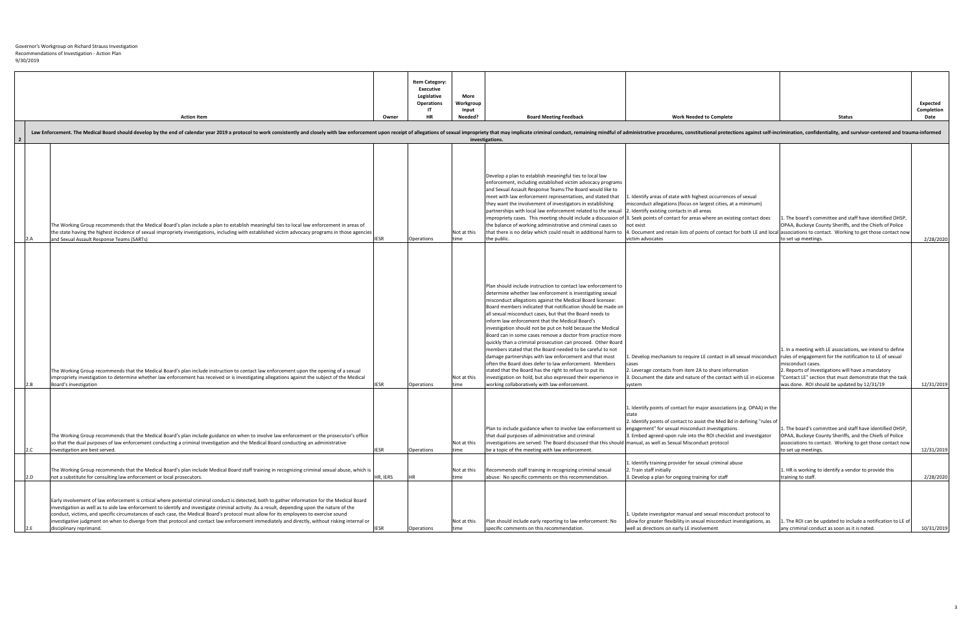| <b>More</b><br><b>Workgroup</b> |                               |                                |               |
|---------------------------------|-------------------------------|--------------------------------|---------------|
| Input                           |                               |                                |               |
| Needed?                         | <b>Board Meeting Feedback</b> | <b>Work Needed to Complete</b> | <b>Status</b> |

of sexual impropriety that may implicate criminal conduct, remaining mindful of administrative procedures, constitutional protections against self-incrimination, confidentiality, and survivor-centered and trauma-informed



|                |                                                                                                                                                                                                                                                                                                   |             | <b>Item Category:</b><br><b>Executive</b><br>Legislative<br><b>Operations</b><br>ΙT |
|----------------|---------------------------------------------------------------------------------------------------------------------------------------------------------------------------------------------------------------------------------------------------------------------------------------------------|-------------|-------------------------------------------------------------------------------------|
|                | <b>Action Item</b>                                                                                                                                                                                                                                                                                | Owner       | <b>HR</b>                                                                           |
| $\overline{2}$ | Law Enforcement. The Medical Board should develop by the end of calendar year 2019 a protocol to work consistently and closely with law enforcement upon receipt of allegations of s                                                                                                              |             |                                                                                     |
|                |                                                                                                                                                                                                                                                                                                   |             |                                                                                     |
|                |                                                                                                                                                                                                                                                                                                   |             |                                                                                     |
|                |                                                                                                                                                                                                                                                                                                   |             |                                                                                     |
|                |                                                                                                                                                                                                                                                                                                   |             |                                                                                     |
|                |                                                                                                                                                                                                                                                                                                   |             |                                                                                     |
|                |                                                                                                                                                                                                                                                                                                   |             |                                                                                     |
|                | The Working Group recommends that the Medical Board's plan include a plan to establish meaningful ties to local law enforcement in areas of<br>the state having the highest incidence of sexual impropriety investigations, including with established victim advocacy programs in those agencies |             |                                                                                     |
| 2.A            | and Sexual Assault Response Teams (SARTs)                                                                                                                                                                                                                                                         | <b>IESR</b> | Operations                                                                          |
|                |                                                                                                                                                                                                                                                                                                   |             |                                                                                     |
|                |                                                                                                                                                                                                                                                                                                   |             |                                                                                     |
|                |                                                                                                                                                                                                                                                                                                   |             |                                                                                     |
|                |                                                                                                                                                                                                                                                                                                   |             |                                                                                     |
|                |                                                                                                                                                                                                                                                                                                   |             |                                                                                     |
|                |                                                                                                                                                                                                                                                                                                   |             |                                                                                     |
|                |                                                                                                                                                                                                                                                                                                   |             |                                                                                     |
|                |                                                                                                                                                                                                                                                                                                   |             |                                                                                     |
|                |                                                                                                                                                                                                                                                                                                   |             |                                                                                     |
|                | The Working Group recommends that the Medical Board's plan include instruction to contact law enforcement upon the opening of a sexual                                                                                                                                                            |             |                                                                                     |
| 2.B            | impropriety investigation to determine whether law enforcement has received or is investigating allegations against the subject of the Medical<br>Board's investigation                                                                                                                           | <b>IESR</b> | <b>Operations</b>                                                                   |
|                |                                                                                                                                                                                                                                                                                                   |             |                                                                                     |
|                |                                                                                                                                                                                                                                                                                                   |             |                                                                                     |
|                |                                                                                                                                                                                                                                                                                                   |             |                                                                                     |
|                | The Working Group recommends that the Medical Board's plan include guidance on when to involve law enforcement or the prosecutor's office                                                                                                                                                         |             |                                                                                     |
| 2.C            | so that the dual purposes of law enforcement conducting a criminal investigation and the Medical Board conducting an administrative<br>investigation are best served.                                                                                                                             | <b>IESR</b> | <b>Operations</b>                                                                   |
|                |                                                                                                                                                                                                                                                                                                   |             |                                                                                     |
| 2.D            | The Working Group recommends that the Medical Board's plan include Medical Board staff training in recognizing criminal sexual abuse, which is<br>not a substitute for consulting law enforcement or local prosecutors.                                                                           | HR, IERS    | <b>HR</b>                                                                           |
|                |                                                                                                                                                                                                                                                                                                   |             |                                                                                     |
|                | Early involvement of law enforcement is critical where potential criminal conduct is detected, both to gather information for the Medical Board                                                                                                                                                   |             |                                                                                     |
|                | investigation as well as to aide law enforcement to identify and investigate criminal activity. As a result, depending upon the nature of the<br>conduct, victims, and specific circumstances of each case, the Medical Board's protocol must allow for its employees to exercise sound           |             |                                                                                     |
| 2.E            | investigative judgment on when to diverge from that protocol and contact law enforcement immediately and directly, without risking internal or<br>disciplinary reprimand.                                                                                                                         | <b>IESR</b> | Operations                                                                          |
|                |                                                                                                                                                                                                                                                                                                   |             |                                                                                     |

|                      | investigations.                                                                                                                                                                                                                                                                                                                                                                                                                                                                                                                                                                                                                                                                                                                                                                                                                                                                                                                    |                                                                                                                                                                                                                                                                                                                                                                                                                                                                                                                  |                                                                                                                                                                                                                                   |
|----------------------|------------------------------------------------------------------------------------------------------------------------------------------------------------------------------------------------------------------------------------------------------------------------------------------------------------------------------------------------------------------------------------------------------------------------------------------------------------------------------------------------------------------------------------------------------------------------------------------------------------------------------------------------------------------------------------------------------------------------------------------------------------------------------------------------------------------------------------------------------------------------------------------------------------------------------------|------------------------------------------------------------------------------------------------------------------------------------------------------------------------------------------------------------------------------------------------------------------------------------------------------------------------------------------------------------------------------------------------------------------------------------------------------------------------------------------------------------------|-----------------------------------------------------------------------------------------------------------------------------------------------------------------------------------------------------------------------------------|
| Not at this<br>time  | Develop a plan to establish meaningful ties to local law<br>enforcement, including established victim advocacy programs<br>and Sexual Assault Response Teams: The Board would like to<br>meet with law enforcement representatives, and stated that<br>they want the involvement of investigators in establishing<br>partnerships with local law enforcement related to the sexual 2. Identify existing contacts in all areas<br>the balance of working administrative and criminal cases so<br>the public.                                                                                                                                                                                                                                                                                                                                                                                                                        | 1. Identify areas of state with highest occurrences of sexual<br>misconduct allegations (focus on largest cities, at a minimum)<br>impropriety cases. This meeting should include a discussion of 3. Seek points of contact for areas where an existing contact does<br>not exist<br>that there is no delay which could result in additional harm to  4. Document and retain lists of points of contact for both LE and local associations to contact. Working to get those contased by that<br>victim advocates | 1. The board's committee and staff have identified<br>OPAA, Buckeye County Sheriffs, and the Chiefs of I<br>to set up meetings.                                                                                                   |
| Not at this<br>ltime | Plan should include instruction to contact law enforcement to<br>determine whether law enforcement is investigating sexual<br>misconduct allegations against the Medical Board licensee:<br>Board members indicated that notification should be made on<br>all sexual misconduct cases, but that the Board needs to<br>inform law enforcement that the Medical Board's<br>investigation should not be put on hold because the Medical<br>Board can in some cases remove a doctor from practice more<br>quickly than a criminal prosecution can proceed. Other Board<br>members stated that the Board needed to be careful to not<br>damage partnerships with law enforcement and that most<br>often the Board does defer to law enforcement. Members<br>stated that the Board has the right to refuse to put its<br>investigation on hold, but also expressed their experience in<br>working collaboratively with law enforcement. | 1. Develop mechanism to require LE contact in all sexual misconduct  rules of engagement for the notification to LE of se<br>cases<br>2. Leverage contacts from item 2A to share information<br>3. Document the date and nature of the contact with LE in eLicense<br>system                                                                                                                                                                                                                                     | 1. In a meeting with LE associations, we intend to<br>misconduct cases.<br>2. Reports of Investigations will have a mandatory<br>'Contact LE" section that must demonstrate that t<br>was done. ROI should be updated by 12/31/19 |
| Not at this<br>time  | Plan to include guidance when to involve law enforcement so<br>that dual purposes of administrative and criminal<br>investigations are served: The Board discussed that this should manual, as well as Sexual Misconduct protocol<br>be a topic of the meeting with law enforcement.                                                                                                                                                                                                                                                                                                                                                                                                                                                                                                                                                                                                                                               | 1. Identify points of contact for major associations (e.g. OPAA) in the<br>state<br>2. Identify points of contact to assist the Med Bd in defining "rules of<br>engagement" for sexual misconduct investigations<br>3. Embed agreed-upon rule into the ROI checklist and investigator                                                                                                                                                                                                                            | 1. The board's committee and staff have identified<br>OPAA, Buckeye County Sheriffs, and the Chiefs of I<br>associations to contact. Working to get those cont<br>to set up meetings.                                             |
| Not at this<br>time  | Recommends staff training in recognizing criminal sexual<br>abuse: No specific comments on this recommendation.                                                                                                                                                                                                                                                                                                                                                                                                                                                                                                                                                                                                                                                                                                                                                                                                                    | 1. Identify training provider for sexual criminal abuse<br>2. Train staff initially<br>3. Develop a plan for ongoing training for staff                                                                                                                                                                                                                                                                                                                                                                          | 1. HR is working to identify a vendor to provide thi<br>training to staff.                                                                                                                                                        |
| Not at this<br>time  | Plan should include early reporting to law enforcement: No<br>specific comments on this recommendation.                                                                                                                                                                                                                                                                                                                                                                                                                                                                                                                                                                                                                                                                                                                                                                                                                            | 1. Update investigator manual and sexual misconduct protocol to<br>allow for greater flexibility in sexual misconduct investigations, as<br>well as directions on early LE involvement                                                                                                                                                                                                                                                                                                                           | 1. The ROI can be updated to include a notificatior<br>any criminal conduct as soon as it is noted.                                                                                                                               |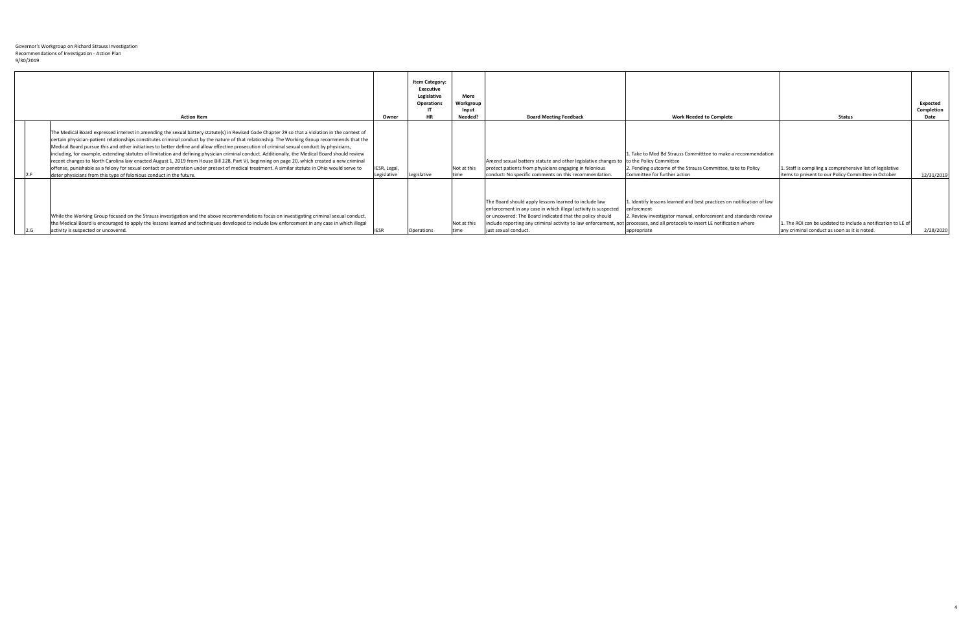|      | <b>Action Item</b>                                                                                                                                                                                                                                                                                                                                                                                                                                                                                                                                                                                                                                                                                                                                                                                                                                                                                                                                                          | Owner                       | <b>Item Category:</b><br><b>Executive</b><br>Legislative<br><b>Operations</b><br><b>HR</b> | <b>More</b><br>Workgroup<br>Input<br>Needed? | <b>Board Meeting Feedback</b>                                                                                                                                                                                                                                               | <b>Work Needed to Complete</b>                                                                                                                                                                                                            | <b>Status</b>                                                                                                    | Expected<br><b>Completion</b><br>Date |
|------|-----------------------------------------------------------------------------------------------------------------------------------------------------------------------------------------------------------------------------------------------------------------------------------------------------------------------------------------------------------------------------------------------------------------------------------------------------------------------------------------------------------------------------------------------------------------------------------------------------------------------------------------------------------------------------------------------------------------------------------------------------------------------------------------------------------------------------------------------------------------------------------------------------------------------------------------------------------------------------|-----------------------------|--------------------------------------------------------------------------------------------|----------------------------------------------|-----------------------------------------------------------------------------------------------------------------------------------------------------------------------------------------------------------------------------------------------------------------------------|-------------------------------------------------------------------------------------------------------------------------------------------------------------------------------------------------------------------------------------------|------------------------------------------------------------------------------------------------------------------|---------------------------------------|
|      | The Medical Board expressed interest in amending the sexual battery statute(s) in Revised Code Chapter 29 so that a violation in the context of<br>certain physician-patient relationships constitutes criminal conduct by the nature of that relationship. The Working Group recommends that the<br>Medical Board pursue this and other initiatives to better define and allow effective prosecution of criminal sexual conduct by physicians,<br>including, for example, extending statutes of limitation and defining physician criminal conduct. Additionally, the Medical Board should review<br>recent changes to North Carolina law enacted August 1, 2019 from House Bill 228, Part VI, beginning on page 20, which created a new criminal<br>offense, punishable as a felony for sexual contact or penetration under pretext of medical treatment. A similar statute in Ohio would serve to<br>deter physicians from this type of felonious conduct in the future. | IESR, Legal,<br>Legislative | Legislative                                                                                | Not at this<br>Itime                         | Amend sexual battery statute and other legislative changes to Ito the Policy Committee<br>protect patients from physicians engaging in felonious<br>conduct: No specific comments on this recommendation.                                                                   | . Take to Med Bd Strauss Committtee to make a recommendation<br>2. Pending outcome of the Strauss Committee, take to Policy<br>Committee for further action                                                                               | 1. Staff is compiling a comprehensive list of legislative<br>items to present to our Policy Committee in October | 12/31/2019                            |
| 12.G | While the Working Group focused on the Strauss investigation and the above recommendations focus on investigating criminal sexual conduct,<br>the Medical Board is encouraged to apply the lessons learned and techniques developed to include law enforcement in any case in which illegal<br>activity is suspected or uncovered.                                                                                                                                                                                                                                                                                                                                                                                                                                                                                                                                                                                                                                          |                             | <b>Operations</b>                                                                          | Not at this<br>Itime                         | The Board should apply lessons learned to include law<br>enforcement in any case in which illegal activity is suspected<br>or uncovered: The Board indicated that the policy should<br> include reporting any criminal activity to law enforcement,<br>just sexual conduct. | 1. Identify lessons learned and best practices on notification of law<br>enforcment<br>2. Review investigator manual, enforcement and standards review<br>not processes, and all protocols to insert LE notification where<br>appropriate | 1. The ROI can be updated to include a notification to LE of  <br>any criminal conduct as soon as it is noted.   | 2/28/2020                             |

4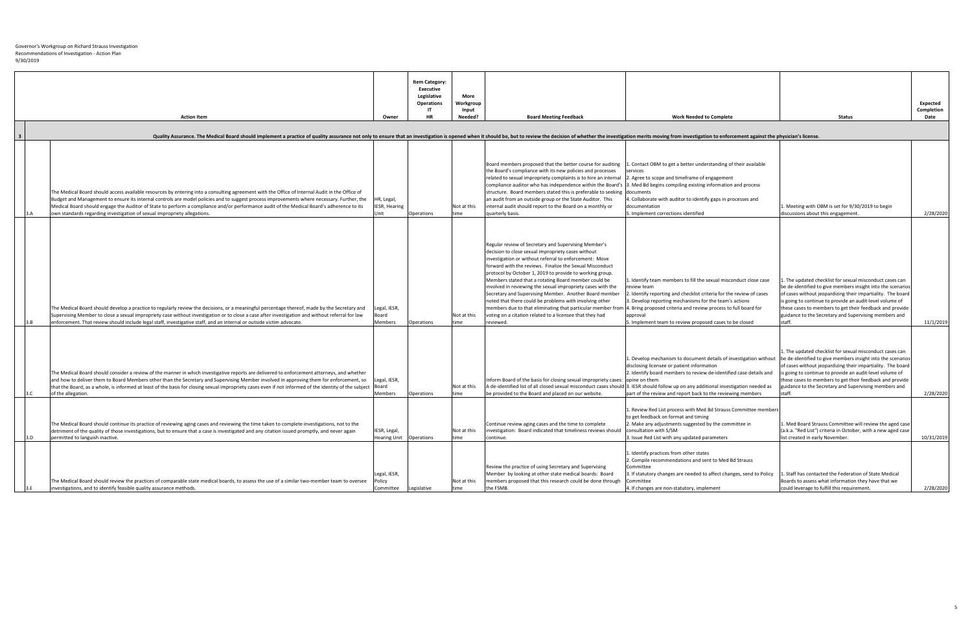| <b>Action Item</b><br>Quality Assurance. The Medical Board should implement a practice of quality assurance not only to ensure that an investigation is opened when it should be, but to review the decision of whether the investigation merits mov                                                                                                                                                                                                                                                                                                                                                                                                                                                                                                                          | Owner                                                            | <b>Item Category:</b><br><b>Executive</b><br>Legislative<br><b>Operations</b><br>HR | <b>More</b><br>Workgroup<br>Input<br>Needed? | <b>Board Meeting Feedback</b>                                                                                                                                                                                                                                                                                                                                                                                                                                                                                                                                                                                                                                                    | <b>Work Needed to Complete</b>                                                                                                                                                                                                                                                                                                                                                                                                                                                                                                                                                              | <b>Status</b>                                                                                                                                                                                                                                                                                                                                                                                                                                                                                               | <b>Expected</b><br>Completion<br>Date |
|-------------------------------------------------------------------------------------------------------------------------------------------------------------------------------------------------------------------------------------------------------------------------------------------------------------------------------------------------------------------------------------------------------------------------------------------------------------------------------------------------------------------------------------------------------------------------------------------------------------------------------------------------------------------------------------------------------------------------------------------------------------------------------|------------------------------------------------------------------|-------------------------------------------------------------------------------------|----------------------------------------------|----------------------------------------------------------------------------------------------------------------------------------------------------------------------------------------------------------------------------------------------------------------------------------------------------------------------------------------------------------------------------------------------------------------------------------------------------------------------------------------------------------------------------------------------------------------------------------------------------------------------------------------------------------------------------------|---------------------------------------------------------------------------------------------------------------------------------------------------------------------------------------------------------------------------------------------------------------------------------------------------------------------------------------------------------------------------------------------------------------------------------------------------------------------------------------------------------------------------------------------------------------------------------------------|-------------------------------------------------------------------------------------------------------------------------------------------------------------------------------------------------------------------------------------------------------------------------------------------------------------------------------------------------------------------------------------------------------------------------------------------------------------------------------------------------------------|---------------------------------------|
| The Medical Board should access available resources by entering into a consulting agreement with the Office of Internal Audit in the Office of<br>Budget and Management to ensure its internal controls are model policies and to suggest process improvements where necessary. Further, the<br>Medical Board should engage the Auditor of State to perform a compliance and/or performance audit of the Medical Board's adherence to its<br>own standards regarding investigation of sexual impropriety allegations.                                                                                                                                                                                                                                                         | HR, Legal,<br><b>IESR, Hearing</b>                               | <b>Operations</b>                                                                   | Not at this                                  | Board members proposed that the better course for auditing<br>the Board's compliance with its new policies and processes<br>related to sexual impropriety complaints is to hire an internal<br>structure. Board members stated this is preferable to seeking documents<br>an audit from an outside group or the State Auditor. This<br>internal audit should report to the Board on a monthly or<br>quarterly basis.                                                                                                                                                                                                                                                             | . Contact OBM to get a better understanding of their available<br><b>Iservices</b><br>2. Agree to scope and timeframe of engagement<br>compliance auditor who has independence within the Board's  3. Med Bd begins compiling existing information and process<br>4. Collaborate with auditor to identify gaps in processes and<br><b>documentation</b><br>5. Implement corrections identified                                                                                                                                                                                              | . Meeting with OBM is set for 9/30/2019 to begin<br>discussions about this engagement.                                                                                                                                                                                                                                                                                                                                                                                                                      | 2/28/2020                             |
| The Medical Board should develop a practice to regularly review the decisions, or a meaningful percentage thereof, made by the Secretary and<br>Supervising Member to close a sexual impropriety case without investigation or to close a case after investigation and without referral for law<br>enforcement. That review should include legal staff, investigative staff, and an internal or outside victim advocate.                                                                                                                                                                                                                                                                                                                                                      | Legal, IESR,<br>Board<br>Members                                 | Operations                                                                          | Not at this<br>time                          | Regular review of Secretary and Supervising Member's<br>decision to close sexual impropriety cases without<br>investigation or without referral to enforcement: Move<br>forward with the reviews. Finalize the Sexual Misconduct<br>protocol by October 1, 2019 to provide to working group.<br>Members stated that a rotating Board member could be<br>involved in reviewing the sexual impropriety cases with the<br>Secretary and Supervising Member. Another Board member<br>noted that there could be problems with involving other<br>members due to that eliminating that particular member fron<br>voting on a citation related to a licensee that they had<br>reviewed. | 1. Identify team members to fill the sexual misconduct close case<br><b>I</b> review team<br>. Identify reporting and checklist criteria for the review of cases<br>3. Develop reporting mechanisms for the team's actions<br>. Bring proposed criteria and review process to full board for<br>approval<br>5. Implement team to review proposed cases to be closed                                                                                                                                                                                                                         | . The updated checklist for sexual misconduct cases can<br>be de-identified to give members insight into the scenarios<br>of cases without jeopardizing their impartiality. The board<br>is going to continue to provide an audit-level volume of<br>these cases to members to get their feedback and provide<br>guidance to the Secretary and Supervising members and                                                                                                                                      | 11/1/2019                             |
| The Medical Board should consider a review of the manner in which investigative reports are delivered to enforcement attorneys, and whether<br>and how to deliver them to Board Members other than the Secretary and Supervising Member involved in approving them for enforcement, so<br>that the Board, as a whole, is informed at least of the basis for closing sexual impropriety cases even if not informed of the identity of the subject  Board<br>of the allegation.<br>The Medical Board should continue its practice of reviewing aging cases and reviewing the time taken to complete investigations, not to the<br>detriment of the quality of those investigations, but to ensure that a case is investigated and any citation issued promptly, and never again | Legal, IESR,<br>Members<br>IESR, Legal,                          | Operations                                                                          | Not at this<br>time<br>Not at this           | Inform Board of the basis for closing sexual impropriety cases: opine on them<br>be provided to the Board and placed on our website.<br>Continue review aging cases and the time to complete<br>investigation: Board indicated that timeliness reviews should                                                                                                                                                                                                                                                                                                                                                                                                                    | 1. Develop mechanism to document details of investigation without<br>disclosing licensee or patient information<br>2. Identify board members to review de-identified case details and<br>A de-identified list of all closed sexual misconduct cases should 3. IESR should follow up on any additional investigation needed as<br>part of the review and report back to the reviewing members<br>1. Review Red List process with Med Bd Strauss Committee members<br>to get feedback on format and timing<br>2. Make any adjustments suggested by the committee in<br>consultation with S/SM | 1. The updated checklist for sexual misconduct cases can<br>be de-identified to give members insight into the scenarios<br>of cases without jeopardizing their impartiality. The board<br>s going to continue to provide an audit-level volume of<br>these cases to members to get their feedback and provide<br>guidance to the Secretary and Supervising members and<br>staff<br>. Med Board Strauss Committee will review the aged case<br>(a.k.a. "Red List") criteria in October, with a new aged case | 2/28/2020                             |
| permitted to languish inactive.<br>The Medical Board should review the practices of comparable state medical boards, to assess the use of a similar two-member team to oversee<br>linvestigations, and to identify feasible quality assurance methods.                                                                                                                                                                                                                                                                                                                                                                                                                                                                                                                        | Hearing Unit   Operations<br>Legal, IESR,<br>Policy<br>Committee | Legislative                                                                         | time<br>Not at this<br>time                  | continue.<br>Review the practice of using Secretary and Supervising<br>Member by looking at other state medical boards: Board<br>members proposed that this research could be done through<br>the FSMB.                                                                                                                                                                                                                                                                                                                                                                                                                                                                          | 3. Issue Red List with any updated parameters<br>1. Identify practices from other states<br>2. Compile recommendations and sent to Med Bd Strauss<br>Committee<br>3. If statutory changes are needed to affect changes, send to Policy<br><b>Committee</b><br>4. If changes are non-statutory, implement                                                                                                                                                                                                                                                                                    | list created in early November.<br>. Staff has contacted the Federation of State Medical<br>Boards to assess what information they have that we<br>could leverage to fulfill this requirement.                                                                                                                                                                                                                                                                                                              | 10/31/2019<br>2/28/2020               |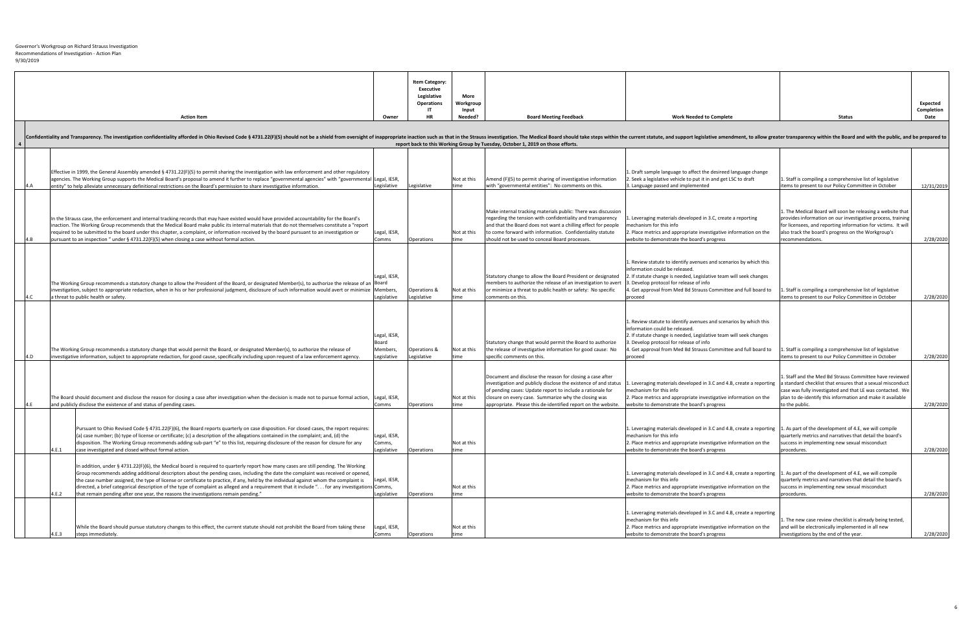Recommendations of Investigation - Action Plan

Governor's Workgroup on Richard Strauss Investigation 9/30/2019

|                                             | <b>Action Item</b>                                                                                                                                                                                                                                                                                                                                                                                                                                                                                                                                                                                                                                         | Owner                                            | <b>Item Category:</b><br><b>Executive</b><br>Legislative<br><b>Operations</b><br>HR | <b>More</b><br>Workgroup<br>Input<br>Needed? | <b>Board Meeting Feedback</b>                                                                                                                                                                                                                                                                                       | <b>Work Needed to Complete</b>                                                                                                                                                                                                                                                                                        | <b>Status</b>                                                                                                                                                                                                                                                      | Expected<br><b>Completion</b><br>Date |
|---------------------------------------------|------------------------------------------------------------------------------------------------------------------------------------------------------------------------------------------------------------------------------------------------------------------------------------------------------------------------------------------------------------------------------------------------------------------------------------------------------------------------------------------------------------------------------------------------------------------------------------------------------------------------------------------------------------|--------------------------------------------------|-------------------------------------------------------------------------------------|----------------------------------------------|---------------------------------------------------------------------------------------------------------------------------------------------------------------------------------------------------------------------------------------------------------------------------------------------------------------------|-----------------------------------------------------------------------------------------------------------------------------------------------------------------------------------------------------------------------------------------------------------------------------------------------------------------------|--------------------------------------------------------------------------------------------------------------------------------------------------------------------------------------------------------------------------------------------------------------------|---------------------------------------|
|                                             |                                                                                                                                                                                                                                                                                                                                                                                                                                                                                                                                                                                                                                                            |                                                  |                                                                                     |                                              |                                                                                                                                                                                                                                                                                                                     |                                                                                                                                                                                                                                                                                                                       |                                                                                                                                                                                                                                                                    |                                       |
|                                             |                                                                                                                                                                                                                                                                                                                                                                                                                                                                                                                                                                                                                                                            |                                                  |                                                                                     |                                              |                                                                                                                                                                                                                                                                                                                     |                                                                                                                                                                                                                                                                                                                       |                                                                                                                                                                                                                                                                    |                                       |
|                                             | Confidentiality and Transparency. The investigation confidentiality afforded in Ohio Revised Code § 4731.22(F)(5) should not be a shield from oversight of inappropriate inaction such as that in the current statute, and sup                                                                                                                                                                                                                                                                                                                                                                                                                             |                                                  |                                                                                     |                                              | report back to this Working Group by Tuesday, October 1, 2019 on those efforts.                                                                                                                                                                                                                                     |                                                                                                                                                                                                                                                                                                                       |                                                                                                                                                                                                                                                                    |                                       |
|                                             |                                                                                                                                                                                                                                                                                                                                                                                                                                                                                                                                                                                                                                                            |                                                  |                                                                                     |                                              |                                                                                                                                                                                                                                                                                                                     |                                                                                                                                                                                                                                                                                                                       |                                                                                                                                                                                                                                                                    |                                       |
|                                             | Effective in 1999, the General Assembly amended § 4731.22(F)(5) to permit sharing the investigation with law enforcement and other regulatory<br>agencies. The Working Group supports the Medical Board's proposal to amend it further to replace "governmental agencies" with "governmental Legal, IESR,<br>entity" to help alleviate unnecessary definitional restrictions on the Board's permission to share investigative information.                                                                                                                                                                                                                 | Legislative                                      | Legislative                                                                         | Not at this<br>time                          | Amend (F)(5) to permit sharing of investigative information<br>with "governmental entities": No comments on this.                                                                                                                                                                                                   | Draft sample language to affect the desireed language change<br>. Seek a legislative vehicle to put it in and get LSC to draft<br>3. Language passed and implemented                                                                                                                                                  | 1. Staff is compiling a comprehensive list of legislative<br>items to present to our Policy Committee in October                                                                                                                                                   | 12/31/2019                            |
|                                             |                                                                                                                                                                                                                                                                                                                                                                                                                                                                                                                                                                                                                                                            |                                                  |                                                                                     |                                              |                                                                                                                                                                                                                                                                                                                     |                                                                                                                                                                                                                                                                                                                       |                                                                                                                                                                                                                                                                    |                                       |
|                                             | In the Strauss case, the enforcement and internal tracking records that may have existed would have provided accountability for the Board's<br>Inaction. The Working Group recommends that the Medical Board make public its internal materials that do not themselves constitute a "report"<br>required to be submitted to the board under this chapter, a complaint, or information received by the board pursuant to an investigation or                                                                                                                                                                                                                | Legal, IESR,                                     |                                                                                     | Not at this                                  | Make internal tracking materials public: There was discussion<br>regarding the tension with confidentiality and transparency<br>and that the Board does not want a chilling effect for people<br>to come forward with information. Confidentiality statute                                                          | . Leveraging materials developed in 3.C, create a reporting<br>nechanism for this info<br>. Place metrics and appropriate investigative information on the                                                                                                                                                            | 1. The Medical Board will soon be releasing a website that<br>provides information on our investigative process, training<br>for licensees, and reporting information for victims. It will<br>also track the board's progress on the Workgroup's                   |                                       |
|                                             | pursuant to an inspection " under $\S$ 4731.22(F)(5) when closing a case without formal action.                                                                                                                                                                                                                                                                                                                                                                                                                                                                                                                                                            | Comms                                            | Operations                                                                          | Itime                                        | should not be used to conceal Board processes.                                                                                                                                                                                                                                                                      | website to demonstrate the board's progress                                                                                                                                                                                                                                                                           | recommendations.                                                                                                                                                                                                                                                   | 2/28/2020                             |
| a threat to public health or safety.<br>4.C | The Working Group recommends a statutory change to allow the President of the Board, or designated Member(s), to authorize the release of an Board<br>linvestigation, subject to appropriate redaction, when in his or her professional judgment, disclosure of such information would avert or minimize Members,                                                                                                                                                                                                                                                                                                                                          | Legal, IESR,<br>Legislative                      | Operations &<br>Legislative                                                         | Not at this<br>time                          | Statutory change to allow the Board President or designated<br>members to authorize the release of an investigation to avert $\vert$ 3. Develop protocol for release of info<br>or minimize a threat to public health or safety: No specific<br>comments on this.                                                   | Review statute to identify avenues and scenarios by which this<br>information could be released.<br>. If statute change is needed, Legislative team will seek changes<br>4. Get approval from Med Bd Strauss Committee and full board to $\vert$ 1. Staff is compiling a comprehensive list of legislative<br>proceed | litems to present to our Policy Committee in October                                                                                                                                                                                                               | 2/28/2020                             |
|                                             | The Working Group recommends a statutory change that would permit the Board, or designated Member(s), to authorize the release of<br>linvestigative information, subject to appropriate redaction, for good cause, specifically including upon request of a law enforcement agency.                                                                                                                                                                                                                                                                                                                                                                        | Legal, IESR,<br>Board<br>Members,<br>Legislative | Operations &<br>Legislative                                                         | Not at this<br>time                          | Statutory change that would permit the Board to authorize<br>the release of investigative information for good cause: No<br>specific comments on this.                                                                                                                                                              | . Review statute to identify avenues and scenarios by which this<br>information could be released.<br>2. If statute change is needed, Legislative team will seek changes<br>3. Develop protocol for release of info<br>. Get approval from Med Bd Strauss Committee and full board to<br>proceed                      | Staff is compiling a comprehensive list of legislative<br>items to present to our Policy Committee in October                                                                                                                                                      | 2/28/2020                             |
|                                             | The Board should document and disclose the reason for closing a case after investigation when the decision is made not to pursue formal action, Legal, IESR,<br>and publicly disclose the existence of and status of pending cases.                                                                                                                                                                                                                                                                                                                                                                                                                        |                                                  | Operations                                                                          | Not at this<br>ltime                         | Document and disclose the reason for closing a case after<br>investigation and publicly disclose the existence of and status<br>of pending cases: Update report to include a rationale for<br>closure on every case. Summarize why the closing was<br>appropriate. Please this de-identified report on the website. | Leveraging materials developed in 3.C and 4.B, create a reporting<br>mechanism for this info<br>2. Place metrics and appropriate investigative information on the<br>website to demonstrate the board's progress                                                                                                      | L. Staff and the Med Bd Strauss Committee have reviewed<br>a standard checklist that ensures that a sexual misconduct<br>case was fully investigated and that LE was contacted. We<br>plan to de-identify this information and make it available<br>to the public. | 2/28/2020                             |
| 4.E.1                                       | Pursuant to Ohio Revised Code § 4731.22(F)(6), the Board reports quarterly on case disposition. For closed cases, the report requires:<br>$(a)$ case number; (b) type of license or certificate; (c) a description of the allegations contained in the complaint; and, (d) the<br>disposition. The Working Group recommends adding sub-part "e" to this list, requiring disclosure of the reason for closure for any<br>case investigated and closed without formal action.                                                                                                                                                                                | Legal, IESR,<br>Comms<br>Legislative             | <b>Operations</b>                                                                   | Not at this<br>time                          |                                                                                                                                                                                                                                                                                                                     | 1. Leveraging materials developed in 3.C and 4.B, create a reporting<br>mechanism for this info<br>2. Place metrics and appropriate investigative information on the<br>website to demonstrate the board's progress                                                                                                   | 1. As part of the development of 4.E, we will compile<br>quarterly metrics and narratives that detail the board's<br>success in implementing new sexual misconduct<br>procedures.                                                                                  | 2/28/2020                             |
| 4.E.2                                       | In addition, under § 4731.22(F)(6), the Medical board is required to quarterly report how many cases are still pending. The Working<br>Group recommends adding additional descriptors about the pending cases, including the date the complaint was received or opened,<br>the case number assigned, the type of license or certificate to practice, if any, held by the individual against whom the complaint is<br>directed, a brief categorical description of the type of complaint as alleged and a requirement that it include " for any investigations Comms<br>that remain pending after one year, the reasons the investigations remain pending." | Legal, IESR,<br>Legislative                      | Operations                                                                          | Not at this<br>ltime                         |                                                                                                                                                                                                                                                                                                                     | 1. Leveraging materials developed in 3.C and 4.B, create a reporting<br>mechanism for this info<br>2. Place metrics and appropriate investigative information on the<br>website to demonstrate the board's progress                                                                                                   | . As part of the development of 4.E, we will compile<br>quarterly metrics and narratives that detail the board's<br>success in implementing new sexual misconduct<br>procedures.                                                                                   | 2/28/2020                             |
| 4.E.3                                       | While the Board should pursue statutory changes to this effect, the current statute should not prohibit the Board from taking these<br>steps immediately.                                                                                                                                                                                                                                                                                                                                                                                                                                                                                                  | Legal, IESR,<br>Comms                            | Operations                                                                          | Not at this<br><b>Itime</b>                  |                                                                                                                                                                                                                                                                                                                     | 1. Leveraging materials developed in 3.C and 4.B, create a reporting<br>mechanism for this info<br>2. Place metrics and appropriate investigative information on the<br>website to demonstrate the board's progress                                                                                                   | . The new case review checklist is already being tested,<br>and will be electronically implemented in all new<br>investigations by the end of the year.                                                                                                            | 2/28/2020                             |
|                                             |                                                                                                                                                                                                                                                                                                                                                                                                                                                                                                                                                                                                                                                            |                                                  |                                                                                     |                                              |                                                                                                                                                                                                                                                                                                                     |                                                                                                                                                                                                                                                                                                                       |                                                                                                                                                                                                                                                                    |                                       |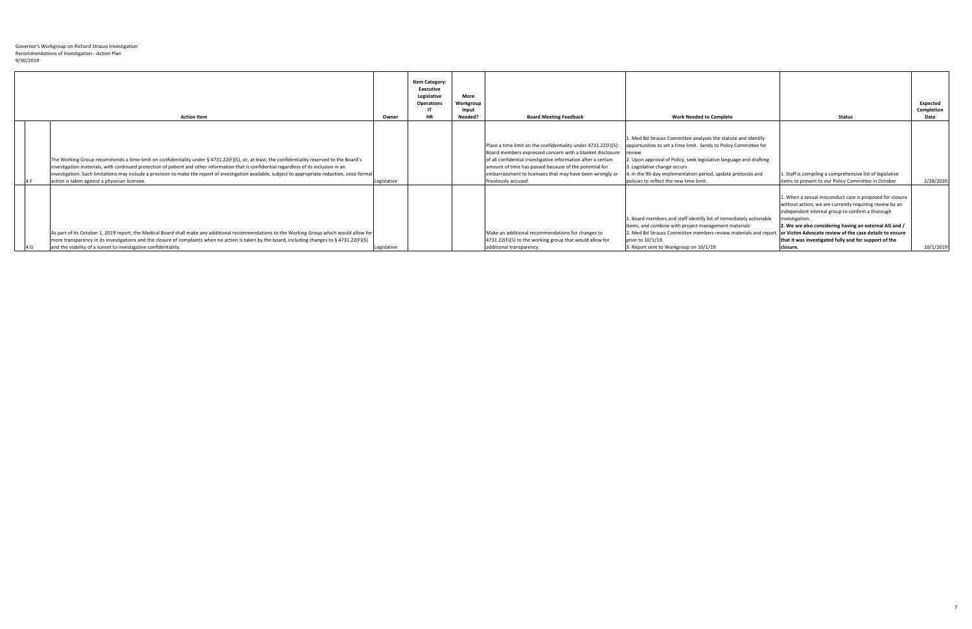| <b>Action Item</b>                                                                                                                                                                                                                                                                                                                                                                                                                                                                                    | Owner       | <b>Item Category:</b><br><b>Executive</b><br>Legislative<br><b>Operations</b><br><b>HR</b> | <b>More</b><br>Workgroup<br>Input<br>Needed? | <b>Board Meeting Feedback</b>                                                                                                                                                                                                                                                                                                              | <b>Work Needed to Complete</b>                                                                                                                                                                                                                                                                                                                                      | <b>Status</b>                                                                                                                                                                                                                                                                                                                                                                       | Expected<br><b>Completion</b><br>Date |
|-------------------------------------------------------------------------------------------------------------------------------------------------------------------------------------------------------------------------------------------------------------------------------------------------------------------------------------------------------------------------------------------------------------------------------------------------------------------------------------------------------|-------------|--------------------------------------------------------------------------------------------|----------------------------------------------|--------------------------------------------------------------------------------------------------------------------------------------------------------------------------------------------------------------------------------------------------------------------------------------------------------------------------------------------|---------------------------------------------------------------------------------------------------------------------------------------------------------------------------------------------------------------------------------------------------------------------------------------------------------------------------------------------------------------------|-------------------------------------------------------------------------------------------------------------------------------------------------------------------------------------------------------------------------------------------------------------------------------------------------------------------------------------------------------------------------------------|---------------------------------------|
| The Working Group recommends a time-limit on confidentiality under § 4731.22(F)(5), or, at least, the confidentiality reserved to the Board's<br>investigation materials, with continued protection of patient and other information that is confidential regardless of its inclusion in an<br>linvestigation. Such limitations may include a provision to make the report of investigation available, subject to appropriate redaction, once formal<br>action is taken against a physician licensee. | Legislative |                                                                                            |                                              | Place a time limit on the confidentiality under 4731.22(F)(5):<br>Board members expressed concern with a blanket disclosure<br>of all confidential investigative information after a certain<br>amount of time has passed because of the potential for<br>embarrassment to licensees that may have been wrongly or<br>frivolously accused. | 1. Med Bd Strauss Committee analyzes the statute and identify<br>opportunities to set a time limit. Sends to Policy Committee for<br><b>I</b> review<br>2. Upon approval of Policy, seek legislative language and drafting<br>3. Legislative change occurs<br>. In the 90-day implementation period, update protocols and<br>policies to reflect the new time limit | 1. Staff is compiling a comprehensive list of legislative<br>items to present to our Policy Committee in October                                                                                                                                                                                                                                                                    | 2/28/2020                             |
| As part of its October 1, 2019 report, the Medical Board shall make any additional recommendations to the Working Group which would allow for<br>more transparency in its investigations and the closure of complaints when no action is taken by the board, including changes to § 4731.22(F)(5)<br>and the viability of a sunset to investigative confidentiality.                                                                                                                                  | Legislative |                                                                                            |                                              | Make an additional recommendations for changes to<br>4731.22(F)(5) to the working group that would allow for<br>additional transparency:                                                                                                                                                                                                   | 1. Board members and staff identify list of immediately actionable<br>litems, and combine with project management materials<br>2. Med Bd Strauss Committee members review materials and report<br>prior to 10/1/19.<br>3. Report sent to Workgroup on 10/1/19                                                                                                       | 1. When a sexual misconduct case is proposed for closure<br>without action, we are currently requiring review by an<br>independent internal group to confirm a thorough<br>investigation.<br>2. We are also considering having an external AG and /<br>or Victim Advocate review of the case details to ensure<br>that it was investigated fully and for support of the<br>closure. | 10/1/2019                             |

7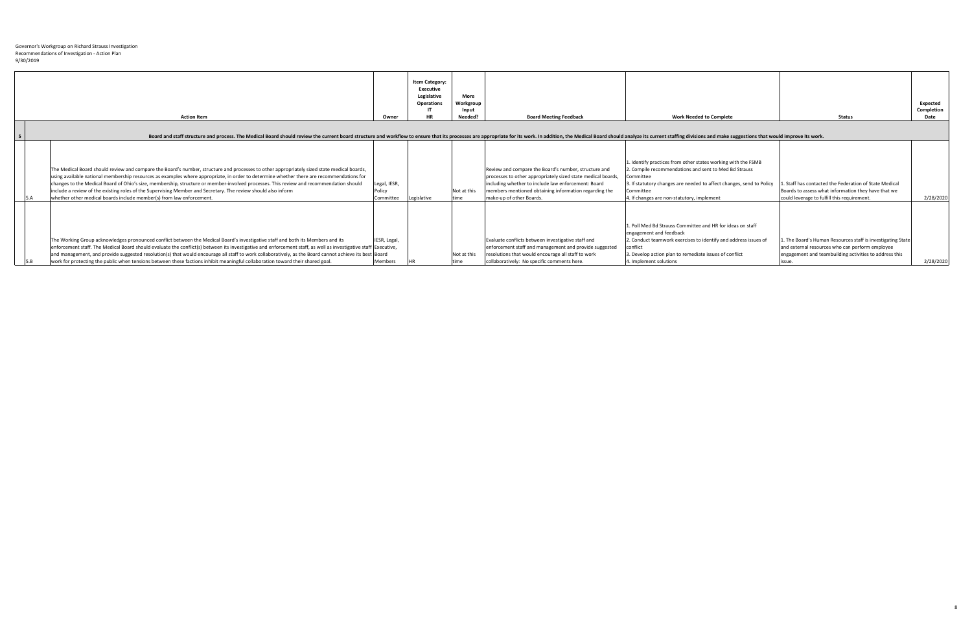| <b>Action Item</b>                                                                                                                                                                                                                                                                                                                                                                                                                                                                                                                                                                                                        | Owner                               | <b>Item Category:</b><br><b>Executive</b><br>Legislative<br><b>Operations</b><br><b>HR</b> | <b>More</b><br>Workgroup<br>Input<br>Needed? | <b>Board Meeting Feedback</b>                                                                                                                                                                                                                                    | <b>Work Needed to Complete</b>                                                                                                                                                                                                                                                       | <b>Status</b>                                                                                                                                                                   | Expected<br>Completion<br>Date |
|---------------------------------------------------------------------------------------------------------------------------------------------------------------------------------------------------------------------------------------------------------------------------------------------------------------------------------------------------------------------------------------------------------------------------------------------------------------------------------------------------------------------------------------------------------------------------------------------------------------------------|-------------------------------------|--------------------------------------------------------------------------------------------|----------------------------------------------|------------------------------------------------------------------------------------------------------------------------------------------------------------------------------------------------------------------------------------------------------------------|--------------------------------------------------------------------------------------------------------------------------------------------------------------------------------------------------------------------------------------------------------------------------------------|---------------------------------------------------------------------------------------------------------------------------------------------------------------------------------|--------------------------------|
| Board and staff structure and process. The Medical Board should review the current board structure and workflow to ensure that its processes are appropriate for its work. In addition, the Medical Board should analyze its c                                                                                                                                                                                                                                                                                                                                                                                            |                                     |                                                                                            |                                              |                                                                                                                                                                                                                                                                  |                                                                                                                                                                                                                                                                                      |                                                                                                                                                                                 |                                |
| The Medical Board should review and compare the Board's number, structure and processes to other appropriately sized state medical boards,<br>using available national membership resources as examples where appropriate, in order to determine whether there are recommendations for<br>changes to the Medical Board of Ohio's size, membership, structure or member-involved processes. This review and recommendation should<br>include a review of the existing roles of the Supervising Member and Secretary. The review should also inform<br>whether other medical boards include member(s) from law enforcement. | Legal, IESR,<br>Policy<br>Committee | Legislative                                                                                | Not at this<br>ltime                         | Review and compare the Board's number, structure and<br>processes to other appropriately sized state medical boards,<br>including whether to include law enforcement: Board<br>members mentioned obtaining information regarding the<br>make-up of other Boards. | 1. Identify practices from other states working with the FSMB<br>2. Compile recommendations and sent to Med Bd Strauss<br><b>Committee</b><br>3. If statutory changes are needed to affect changes, send to Policy<br><b>Committee</b><br>4. If changes are non-statutory, implement | . Staff has contacted the Federation of State Medical<br>Boards to assess what information they have that we<br>could leverage to fulfill this requirement.                     | 2/28/2020                      |
| The Working Group acknowledges pronounced conflict between the Medical Board's investigative staff and both its Members and its<br>enforcement staff. The Medical Board should evaluate the conflict(s) between its investigative and enforcement staff, as well as investigative staff Executive,<br>and management, and provide suggested resolution(s) that would encourage all staff to work collaboratively, as the Board cannot achieve its best Board<br>work for protecting the public when tensions between these factions inhibit meaningful collaboration toward their shared goal.                            | IESR, Legal,<br>Members             |                                                                                            | Not at this<br>time                          | Evaluate conflicts between investigative staff and<br>enforcement staff and management and provide suggested<br>resolutions that would encourage all staff to work<br>collaboratively: No specific comments here.                                                | 1. Poll Med Bd Strauss Committee and HR for ideas on staff<br>engagement and feedback<br>2. Conduct teamwork exercises to identify and address issues of<br><b>I</b> conflict<br>3. Develop action plan to remediate issues of conflict<br>4. Implement solutions                    | The Board's Human Resources staff is investigating State<br>and external resources who can perform employee<br>engagement and teambuilding activities to address this<br>ISSUE. | 2/28/2020                      |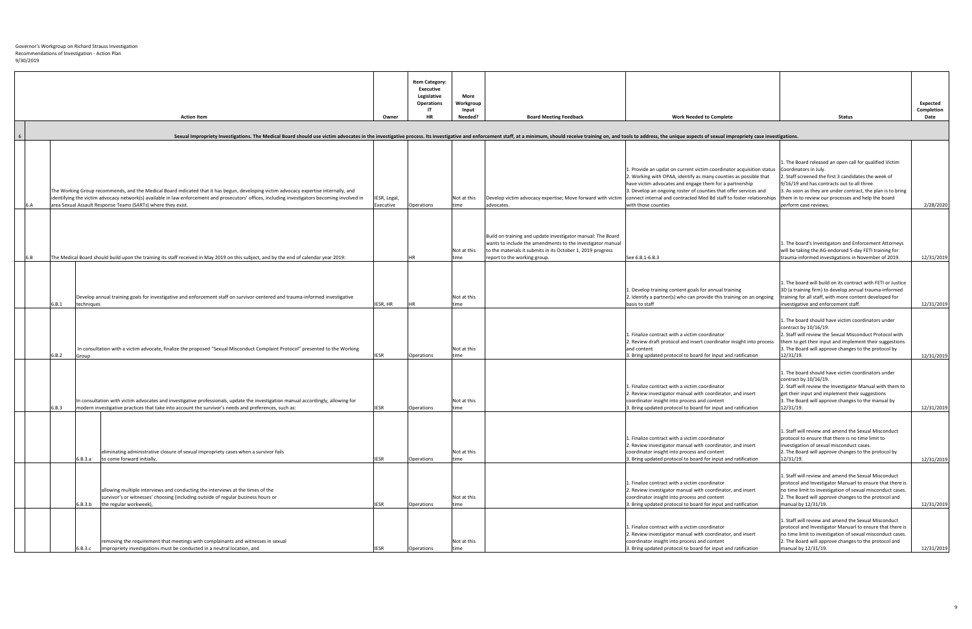|       |            | <b>Action Item</b>                                                                                                                                                                                                                                                                                                                                      | Owner                     | <b>Item Category:</b><br><b>Executive</b><br>Legislative<br><b>Operations</b><br><b>HR</b> | <b>More</b><br>Workgroup<br>Input<br>Needed? | <b>Board Meeting Feedback</b>                                                                                             | <b>Work Needed to Complete</b>                                                                                                                                                                                                                                                                                                                                                                                                     | <b>Status</b>                                                                                                                                                                                                                                                                                                                         | Expected<br>Completion<br>Date |
|-------|------------|---------------------------------------------------------------------------------------------------------------------------------------------------------------------------------------------------------------------------------------------------------------------------------------------------------------------------------------------------------|---------------------------|--------------------------------------------------------------------------------------------|----------------------------------------------|---------------------------------------------------------------------------------------------------------------------------|------------------------------------------------------------------------------------------------------------------------------------------------------------------------------------------------------------------------------------------------------------------------------------------------------------------------------------------------------------------------------------------------------------------------------------|---------------------------------------------------------------------------------------------------------------------------------------------------------------------------------------------------------------------------------------------------------------------------------------------------------------------------------------|--------------------------------|
|       |            |                                                                                                                                                                                                                                                                                                                                                         |                           |                                                                                            |                                              |                                                                                                                           |                                                                                                                                                                                                                                                                                                                                                                                                                                    |                                                                                                                                                                                                                                                                                                                                       |                                |
|       |            | Sexual Impropriety Investigations. The Medical Board should use victim advocates in the investigative process. Its investigative and enforcement staff, at a minimum, should receive training on, and tools to address, the un                                                                                                                          |                           |                                                                                            |                                              |                                                                                                                           |                                                                                                                                                                                                                                                                                                                                                                                                                                    |                                                                                                                                                                                                                                                                                                                                       |                                |
|       |            | The Working Group recommends, and the Medical Board indicated that it has begun, developing victim advocacy expertise internally, and<br>identifying the victim advocacy network(s) available in law enforcement and prosecutors' offices, including investigators becoming involved in<br>area Sexual Assault Response Teams (SARTs) where they exist. | IESR, Legal,<br>Executive | Operations                                                                                 | Not at this<br>time                          | advocates.                                                                                                                | 1. Provide an updat on current victim coordinator acquisition status<br>2. Working with OPAA, identify as many counties as possible that<br>have victim advocates and engage them for a partnership<br>3. Develop an ongoing roster of counties that offer services and<br>Develop victim advocacy expertise; Move forward with victim connect internal and contracted Med Bd staff to foster relationships<br>with those counties | 1. The Board released an open call for qualified Victim<br>Coordinators in July.<br>2. Staff screened the first 3 candidates the week of<br>9/16/19 and has contracts out to all three.<br>3. As soon as they are under contract, the plan is to bring<br>them in to review our processes and help the board<br>perform case reviews. | 2/28/2020                      |
|       |            |                                                                                                                                                                                                                                                                                                                                                         |                           |                                                                                            |                                              | Build on training and update investigator manual: The Board<br>wants to include the amendments to the investigator manual |                                                                                                                                                                                                                                                                                                                                                                                                                                    | 1. The board's Investigators and Enforcement Attorneys                                                                                                                                                                                                                                                                                |                                |
|       |            |                                                                                                                                                                                                                                                                                                                                                         |                           |                                                                                            | Not at this                                  | to the materials it submits in its October 1, 2019 progress                                                               |                                                                                                                                                                                                                                                                                                                                                                                                                                    | will be taking the AG-endorsed 5-day FETI training for                                                                                                                                                                                                                                                                                |                                |
|       |            | The Medical Board should build upon the training its staff received in May 2019 on this subject, and by the end of calendar year 2019:                                                                                                                                                                                                                  |                           |                                                                                            | time                                         | report to the working group.                                                                                              | See 6.B.1-6.B.3                                                                                                                                                                                                                                                                                                                                                                                                                    | trauma-informed investigations in November of 2019.                                                                                                                                                                                                                                                                                   | 12/31/2019                     |
| 6.B.1 | techniques | Develop annual training goals for investigative and enforcement staff on survivor-centered and trauma-informed investigative                                                                                                                                                                                                                            | IESR, HR                  |                                                                                            | Not at this<br>time                          |                                                                                                                           | 1. Develop training content goals for annual training<br>$\vert$ 2. Identify a partner(s) who can provide this training on an ongoing<br>basis to staff                                                                                                                                                                                                                                                                            | 1. The board will build on its contract with FETI or Justice<br>3D (a training firm) to develop annual trauma-informed<br>training for all staff, with more content developed for<br>investigative and enforcement staff.                                                                                                             | 12/31/2019                     |
|       |            | In consultation with a victim advocate, finalize the proposed "Sexual Misconduct Complaint Protocol" presented to the Working                                                                                                                                                                                                                           |                           |                                                                                            | Not at this                                  |                                                                                                                           | 1. Finalize contract with a victim coordinator<br>2. Review draft protocol and insert coordinator insight into process<br>and content                                                                                                                                                                                                                                                                                              | 1. The board should have victim coordinators under<br>contract by $10/16/19$ .<br>2. Staff will review the Sexual Misconduct Protocol with<br>them to get their input and implement their suggestions<br>3. The Board will approve changes to the protocol by                                                                         |                                |
| 6.B.2 | Group      |                                                                                                                                                                                                                                                                                                                                                         | <b>IESR</b>               | <b>Operations</b>                                                                          | time                                         |                                                                                                                           | 3. Bring updated protocol to board for input and ratification                                                                                                                                                                                                                                                                                                                                                                      | 12/31/19.                                                                                                                                                                                                                                                                                                                             | 12/31/2019                     |
| 6.B.3 |            | In consultation with victim advocates and investigative professionals, update the investigation manual accordingly, allowing for<br>Imodern investigative practices that take into account the survivor's needs and preferences, such as:                                                                                                               |                           | <b>Operations</b>                                                                          | Not at this<br>time                          |                                                                                                                           | 1. Finalize contract with a victim coordinator<br>2. Review investigator manual with coordinator, and insert<br>coordinator insight into process and content<br>3. Bring updated protocol to board for input and ratification                                                                                                                                                                                                      | 1. The board should have victim coordinators under<br>contract by $10/16/19$ .<br>2. Staff will review the Investigator Manual with them to<br>get their input and implement their suggestions<br>3. The Board will approve changes to the manual by<br>12/31/19.                                                                     | 12/31/2019                     |
|       | 6.B.3.a    | eliminating administrative closure of sexual impropriety cases when a survivor fails<br>to come forward initially,                                                                                                                                                                                                                                      |                           | Operations                                                                                 | Not at this<br>time                          |                                                                                                                           | 1. Finalize contract with a victim coordinator<br>2. Review investigator manual with coordinator, and insert<br>coordinator insight into process and content<br>3. Bring updated protocol to board for input and ratification                                                                                                                                                                                                      | 1. Staff will review and amend the Sexual Misconduct<br>protocol to ensure that there is no time limit to<br>investigation of sexual misconduct cases.<br>2. The Board will approve changes to the protocol by<br>12/31/19.                                                                                                           | 12/31/2019                     |
|       | 6.B.3.b    | allowing multiple interviews and conducting the interviews at the times of the<br>survivor's or witnesses' choosing (including outside of regular business hours or<br>the regular workweek),                                                                                                                                                           | <b>IESR</b>               | <b>Operations</b>                                                                          | Not at this<br>time                          |                                                                                                                           | 1. Finalize contract with a victim coordinator<br>2. Review investigator manual with coordinator, and insert<br>coordinator insight into process and content<br>3. Bring updated protocol to board for input and ratification                                                                                                                                                                                                      | 1. Staff will review and amend the Sexual Misconduct<br>protocol and Investigator Manuarl to ensure that there is<br>no time limit to investigation of sexual misconduct cases.<br>2. The Board will approve changes to the protocol and<br>manual by 12/31/19.                                                                       | 12/31/2019                     |
|       | 6.B.3.c    | removing the requirement that meetings with complainants and witnesses in sexual<br>Impropriety investigations must be conducted in a neutral location, and                                                                                                                                                                                             |                           | <b>Operations</b>                                                                          | Not at this<br><b>time</b>                   |                                                                                                                           | 1. Finalize contract with a victim coordinator<br>2. Review investigator manual with coordinator, and insert<br>coordinator insight into process and content<br>3. Bring updated protocol to board for input and ratification                                                                                                                                                                                                      | 1. Staff will review and amend the Sexual Misconduct<br>protocol and Investigator Manuarl to ensure that there is<br>no time limit to investigation of sexual misconduct cases.<br>2. The Board will approve changes to the protocol and<br>manual by 12/31/19.                                                                       | 12/31/2019                     |
|       |            |                                                                                                                                                                                                                                                                                                                                                         |                           |                                                                                            |                                              |                                                                                                                           |                                                                                                                                                                                                                                                                                                                                                                                                                                    |                                                                                                                                                                                                                                                                                                                                       |                                |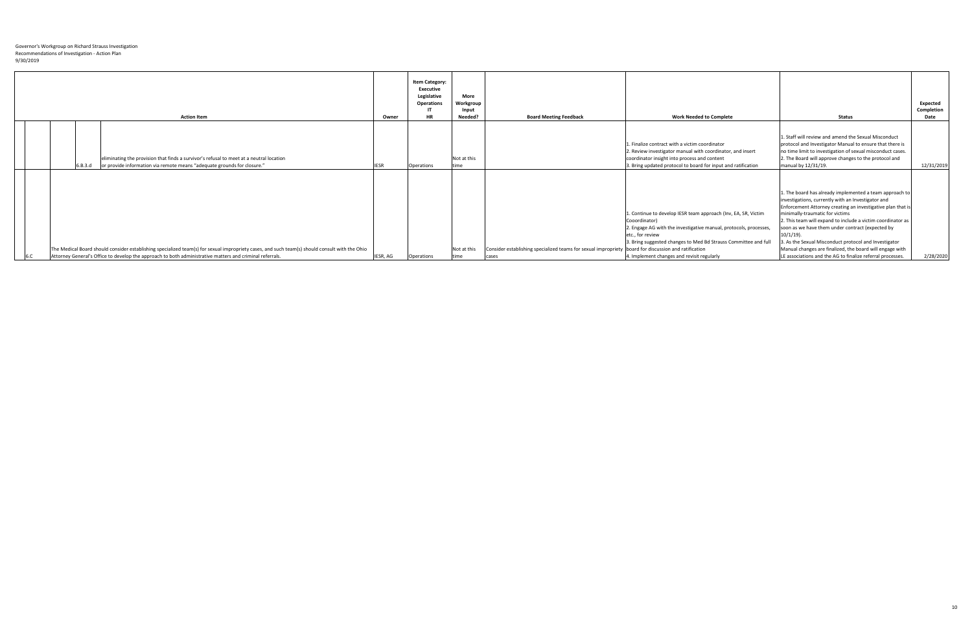|  | <b>Action Item</b>                                                                                                                                                                                                                                         | Owner       | <b>Item Category:</b><br><b>Executive</b><br>Legislative<br><b>Operations</b><br><b>HR</b> | <b>More</b><br>Workgroup<br>Input<br>Needed? | <b>Board Meeting Feedback</b>                                                                                 | <b>Work Needed to Complete</b>                                                                                                                                                                                                                                                            | <b>Status</b>                                                                                                                                                                                                                                                                                                                                                                                                                                                                                                                           | <b>Expected</b><br>Completion<br>Date |
|--|------------------------------------------------------------------------------------------------------------------------------------------------------------------------------------------------------------------------------------------------------------|-------------|--------------------------------------------------------------------------------------------|----------------------------------------------|---------------------------------------------------------------------------------------------------------------|-------------------------------------------------------------------------------------------------------------------------------------------------------------------------------------------------------------------------------------------------------------------------------------------|-----------------------------------------------------------------------------------------------------------------------------------------------------------------------------------------------------------------------------------------------------------------------------------------------------------------------------------------------------------------------------------------------------------------------------------------------------------------------------------------------------------------------------------------|---------------------------------------|
|  | eliminating the provision that finds a survivor's refusal to meet at a neutral location<br>or provide information via remote means "adequate grounds for closure."<br>6.B.3.d                                                                              | <b>IESR</b> | <b>Operations</b>                                                                          | Not at this<br><b>Itime</b>                  |                                                                                                               | 1. Finalize contract with a victim coordinator<br>2. Review investigator manual with coordinator, and insert<br>coordinator insight into process and content<br>3. Bring updated protocol to board for input and ratification                                                             | 1. Staff will review and amend the Sexual Misconduct<br>protocol and Investigator Manual to ensure that there is<br>no time limit to investigation of sexual misconduct cases.<br>2. The Board will approve changes to the protocol and<br>manual by 12/31/19.                                                                                                                                                                                                                                                                          | 12/31/2019                            |
|  | The Medical Board should consider establishing specialized team(s) for sexual impropriety cases, and such team(s) should consult with the Ohio<br>Attorney General's Office to develop the approach to both administrative matters and criminal referrals. | IESR, AG    | <b>Operations</b>                                                                          | Not at this<br><b>time</b>                   | Consider establishing specialized teams for sexual impropriety board for discussion and ratification<br>cases | 1. Continue to develop IESR team approach (Inv, EA, SR, Victim<br>Cooordinator)<br>2. Engage AG with the investigative manual, protocols, processes,<br>etc., for review<br>3. Bring suggested changes to Med Bd Strauss Committee and full<br>4. Implement changes and revisit regularly | 1. The board has already implemented a team approach to  <br>investigations, currently with an Investigator and<br>Enforcement Attorney creating an investigative plan that is<br>minimally-traumatic for victims<br>2. This team will expand to include a victim coordinator as<br>soon as we have them under contract (expected by<br>$10/1/19$ ).<br>3. As the Sexual Misconduct protocol and Investigator<br>Manual changes are finalized, the board will engage with<br>LE associations and the AG to finalize referral processes. | 2/28/2020                             |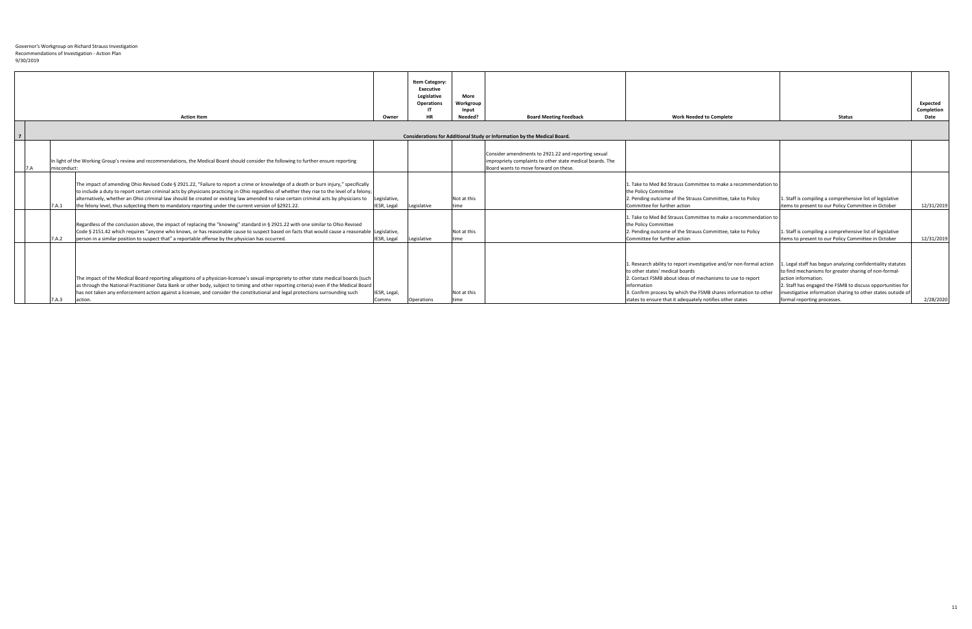|  |             | <b>Action Item</b>                                                                                                                                                                                                                                                                                                                                                                                                                                                                                                                    | Owner                       | <b>Item Category:</b><br><b>Executive</b><br>Legislative<br><b>Operations</b><br><b>HR</b> | <b>More</b><br>Workgroup<br>Input<br>Needed? | <b>Board Meeting Feedback</b>                                                                                                                             | <b>Work Needed to Complete</b>                                                                                                                                                                                                                                                                                        | <b>Status</b>                                                                                                                                                                                                                                                                                         | <b>Expected</b><br>Completion<br><b>Date</b> |
|--|-------------|---------------------------------------------------------------------------------------------------------------------------------------------------------------------------------------------------------------------------------------------------------------------------------------------------------------------------------------------------------------------------------------------------------------------------------------------------------------------------------------------------------------------------------------|-----------------------------|--------------------------------------------------------------------------------------------|----------------------------------------------|-----------------------------------------------------------------------------------------------------------------------------------------------------------|-----------------------------------------------------------------------------------------------------------------------------------------------------------------------------------------------------------------------------------------------------------------------------------------------------------------------|-------------------------------------------------------------------------------------------------------------------------------------------------------------------------------------------------------------------------------------------------------------------------------------------------------|----------------------------------------------|
|  |             |                                                                                                                                                                                                                                                                                                                                                                                                                                                                                                                                       |                             |                                                                                            |                                              |                                                                                                                                                           |                                                                                                                                                                                                                                                                                                                       |                                                                                                                                                                                                                                                                                                       |                                              |
|  |             |                                                                                                                                                                                                                                                                                                                                                                                                                                                                                                                                       |                             |                                                                                            |                                              |                                                                                                                                                           |                                                                                                                                                                                                                                                                                                                       |                                                                                                                                                                                                                                                                                                       |                                              |
|  |             |                                                                                                                                                                                                                                                                                                                                                                                                                                                                                                                                       |                             |                                                                                            |                                              | Considerations for Additional Study or Information by the Medical Board.                                                                                  |                                                                                                                                                                                                                                                                                                                       |                                                                                                                                                                                                                                                                                                       |                                              |
|  | misconduct: | In light of the Working Group's review and recommendations, the Medical Board should consider the following to further ensure reporting                                                                                                                                                                                                                                                                                                                                                                                               |                             |                                                                                            |                                              | Consider amendments to 2921.22 and reporting sexual<br>impropriety complaints to other state medical boards. The<br>Board wants to move forward on these. |                                                                                                                                                                                                                                                                                                                       |                                                                                                                                                                                                                                                                                                       |                                              |
|  | 7.A.1       | The impact of amending Ohio Revised Code § 2921.22, "Failure to report a crime or knowledge of a death or burn injury," specifically<br>to include a duty to report certain criminal acts by physicians practicing in Ohio regardless of whether they rise to the level of a felony;<br>alternatively, whether an Ohio criminal law should be created or existing law amended to raise certain criminal acts by physicians to<br>the felony level, thus subjecting them to mandatory reporting under the current version of §2921.22. | Legislative,<br>IESR, Legal | Legislative                                                                                | Not at this<br>time                          |                                                                                                                                                           | Take to Med Bd Strauss Committee to make a recommendation to<br>the Policy Committee<br>2. Pending outcome of the Strauss Committee, take to Policy<br>Committee for further action                                                                                                                                   | 1. Staff is compiling a comprehensive list of legislative<br>litems to present to our Policy Committee in October                                                                                                                                                                                     | 12/31/2019                                   |
|  | 7.A.2       | Regardless of the conclusion above, the impact of replacing the "knowing" standard in § 2921.22 with one similar to Ohio Revised<br>Code § 2151.42 which requires "anyone who knows, or has reasonable cause to suspect based on facts that would cause a reasonable Legislative,<br>person in a similar position to suspect that" a reportable offense by the physician has occurred.                                                                                                                                                | IESR, Legal Legislative     |                                                                                            | Not at this<br>time                          |                                                                                                                                                           | Take to Med Bd Strauss Committee to make a recommendation to<br>the Policy Committee<br>2. Pending outcome of the Strauss Committee, take to Policy<br>Committee for further action                                                                                                                                   | 1. Staff is compiling a comprehensive list of legislative<br>items to present to our Policy Committee in October                                                                                                                                                                                      | 12/31/2019                                   |
|  | 7.A.3       | The impact of the Medical Board reporting allegations of a physician-licensee's sexual impropriety to other state medical boards (such<br>as through the National Practitioner Data Bank or other body, subject to timing and other reporting criteria) even if the Medical Board<br>has not taken any enforcement action against a licensee, and consider the constitutional and legal protections surrounding such<br>action.                                                                                                       | IESR, Legal,<br>Comms       | Operations                                                                                 | Not at this<br>time                          |                                                                                                                                                           | 1. Research ability to report investigative and/or non-formal action<br>to other states' medical boards<br>2. Contact FSMB about ideas of mechanisms to use to report<br>information<br>3. Confirm process by which the FSMB shares information to other<br>states to ensure that it adequately notifies other states | Legal staff has begun analyzing confidentiality statutes<br>to find mechanisms for greater sharing of non-formal-<br>action information.<br>2. Staff has engaged the FSMB to discuss opportunities for<br>investigative information sharing to other states outside of<br>formal reporting processes. | 2/28/2020                                    |